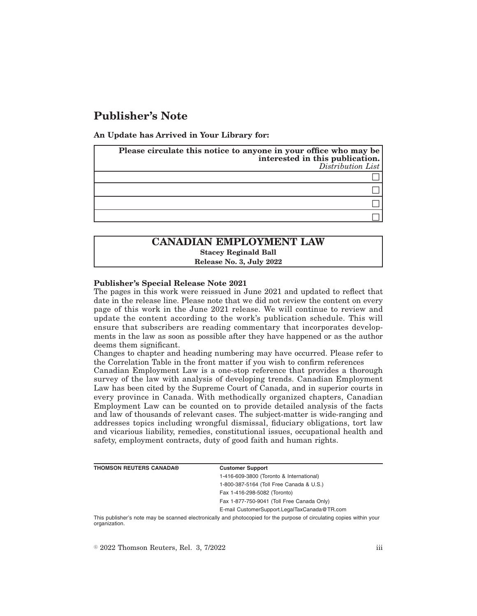# **Publisher's Note**

**An Update has Arrived in Your Library for:**

| Please circulate this notice to anyone in your office who may be<br>interested in this publication.<br>Distribution List |
|--------------------------------------------------------------------------------------------------------------------------|
|                                                                                                                          |
|                                                                                                                          |
|                                                                                                                          |
|                                                                                                                          |

## **CANADIAN EMPLOYMENT LAW Stacey Reginald Ball Release No. 3, July 2022**

#### **Publisher's Special Release Note 2021**

The pages in this work were reissued in June 2021 and updated to reflect that date in the release line. Please note that we did not review the content on every page of this work in the June 2021 release. We will continue to review and update the content according to the work's publication schedule. This will ensure that subscribers are reading commentary that incorporates developments in the law as soon as possible after they have happened or as the author deems them significant.

Changes to chapter and heading numbering may have occurred. Please refer to the Correlation Table in the front matter if you wish to confirm references

Canadian Employment Law is a one-stop reference that provides a thorough survey of the law with analysis of developing trends. Canadian Employment Law has been cited by the Supreme Court of Canada, and in superior courts in every province in Canada. With methodically organized chapters, Canadian Employment Law can be counted on to provide detailed analysis of the facts and law of thousands of relevant cases. The subject-matter is wide-ranging and addresses topics including wrongful dismissal, fiduciary obligations, tort law and vicarious liability, remedies, constitutional issues, occupational health and safety, employment contracts, duty of good faith and human rights.

| <b>THOMSON REUTERS CANADA®</b> | <b>Customer Support</b>                      |  |
|--------------------------------|----------------------------------------------|--|
|                                | 1-416-609-3800 (Toronto & International)     |  |
|                                | 1-800-387-5164 (Toll Free Canada & U.S.)     |  |
|                                | Fax 1-416-298-5082 (Toronto)                 |  |
|                                | Fax 1-877-750-9041 (Toll Free Canada Only)   |  |
|                                | E-mail CustomerSupport.LegalTaxCanada@TR.com |  |
|                                |                                              |  |

This publisher's note may be scanned electronically and photocopied for the purpose of circulating copies within your organization.

 $\degree$  2022 Thomson Reuters, Rel. 3, 7/2022 iii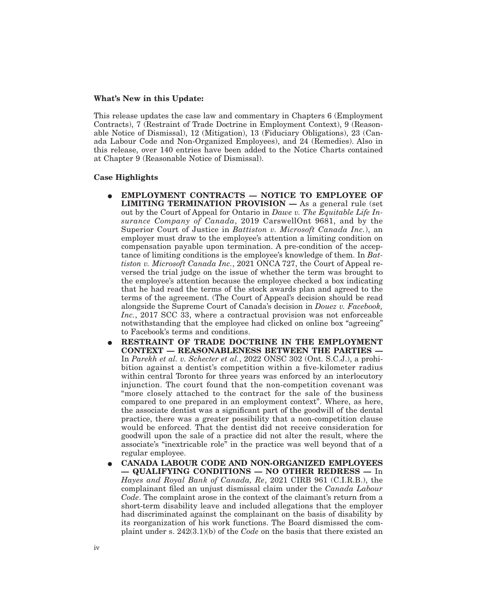#### **What's New in this Update:**

This release updates the case law and commentary in Chapters 6 (Employment Contracts), 7 (Restraint of Trade Doctrine in Employment Context), 9 (Reasonable Notice of Dismissal), 12 (Mitigation), 13 (Fiduciary Obligations), 23 (Canada Labour Code and Non-Organized Employees), and 24 (Remedies). Also in this release, over 140 entries have been added to the Notice Charts contained at Chapter 9 (Reasonable Notice of Dismissal).

#### **Case Highlights**

- E **EMPLOYMENT CONTRACTS NOTICE TO EMPLOYEE OF LIMITING TERMINATION PROVISION —** As a general rule (set out by the Court of Appeal for Ontario in *Dawe v. The Equitable Life Insurance Company of Canada*, 2019 CarswellOnt 9681, and by the Superior Court of Justice in *Battiston v. Microsoft Canada Inc.*), an employer must draw to the employee's attention a limiting condition on compensation payable upon termination. A pre-condition of the acceptance of limiting conditions is the employee's knowledge of them. In *Battiston v. Microsoft Canada Inc.*, 2021 ONCA 727, the Court of Appeal reversed the trial judge on the issue of whether the term was brought to the employee's attention because the employee checked a box indicating that he had read the terms of the stock awards plan and agreed to the terms of the agreement. (The Court of Appeal's decision should be read alongside the Supreme Court of Canada's decision in *Douez v. Facebook, Inc.*, 2017 SCC 33, where a contractual provision was not enforceable notwithstanding that the employee had clicked on online box "agreeing" to Facebook's terms and conditions.
- E **RESTRAINT OF TRADE DOCTRINE IN THE EMPLOYMENT CONTEXT — REASONABLENESS BETWEEN THE PARTIES —** In *Parekh et al. v. Schecter et al.*, 2022 ONSC 302 (Ont. S.C.J.), a prohibition against a dentist's competition within a five-kilometer radius within central Toronto for three years was enforced by an interlocutory injunction. The court found that the non-competition covenant was "more closely attached to the contract for the sale of the business compared to one prepared in an employment context". Where, as here, the associate dentist was a significant part of the goodwill of the dental practice, there was a greater possibility that a non-competition clause would be enforced. That the dentist did not receive consideration for goodwill upon the sale of a practice did not alter the result, where the associate's "inextricable role" in the practice was well beyond that of a regular employee.
- E **CANADA LABOUR CODE AND NON-ORGANIZED EMPLOYEES — QUALIFYING CONDITIONS — NO OTHER REDRESS —** In *Hayes and Royal Bank of Canada, Re*, 2021 CIRB 961 (C.I.R.B.), the complainant filed an unjust dismissal claim under the *Canada Labour Code*. The complaint arose in the context of the claimant's return from a short-term disability leave and included allegations that the employer had discriminated against the complainant on the basis of disability by its reorganization of his work functions. The Board dismissed the complaint under s. 242(3.1)(b) of the *Code* on the basis that there existed an